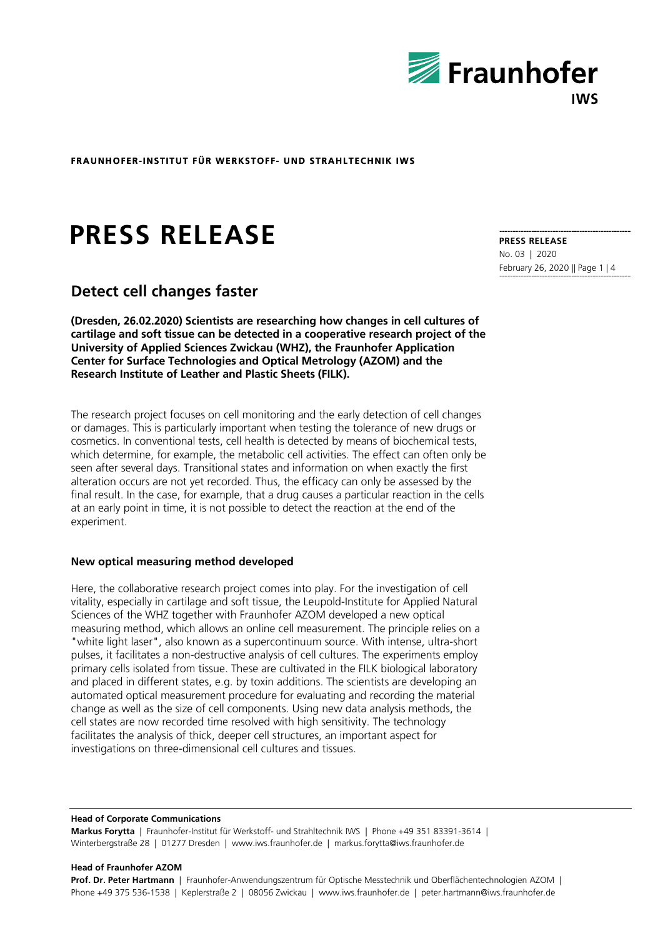

# **PRESS RELEASE**

# **Detect cell changes faster**

**(Dresden, 26.02.2020) Scientists are researching how changes in cell cultures of cartilage and soft tissue can be detected in a cooperative research project of the University of Applied Sciences Zwickau (WHZ), the Fraunhofer Application Center for Surface Technologies and Optical Metrology (AZOM) and the Research Institute of Leather and Plastic Sheets (FILK).** 

The research project focuses on cell monitoring and the early detection of cell changes or damages. This is particularly important when testing the tolerance of new drugs or cosmetics. In conventional tests, cell health is detected by means of biochemical tests, which determine, for example, the metabolic cell activities. The effect can often only be seen after several days. Transitional states and information on when exactly the first alteration occurs are not yet recorded. Thus, the efficacy can only be assessed by the final result. In the case, for example, that a drug causes a particular reaction in the cells at an early point in time, it is not possible to detect the reaction at the end of the experiment.

### **New optical measuring method developed**

Here, the collaborative research project comes into play. For the investigation of cell vitality, especially in cartilage and soft tissue, the Leupold-Institute for Applied Natural Sciences of the WHZ together with Fraunhofer AZOM developed a new optical measuring method, which allows an online cell measurement. The principle relies on a "white light laser", also known as a supercontinuum source. With intense, ultra-short pulses, it facilitates a non-destructive analysis of cell cultures. The experiments employ primary cells isolated from tissue. These are cultivated in the FILK biological laboratory and placed in different states, e.g. by toxin additions. The scientists are developing an automated optical measurement procedure for evaluating and recording the material change as well as the size of cell components. Using new data analysis methods, the cell states are now recorded time resolved with high sensitivity. The technology facilitates the analysis of thick, deeper cell structures, an important aspect for investigations on three-dimensional cell cultures and tissues.

#### **Head of Corporate Communications**

**Markus Forytta** | Fraunhofer-Institut für Werkstoff- und Strahltechnik IWS | Phone +49 351 83391-3614 | Winterbergstraße 28 | 01277 Dresden | www.iws.fraunhofer.de | markus.forytta@iws.fraunhofer.de

#### **Head of Fraunhofer AZOM**

**Prof. Dr. Peter Hartmann** | Fraunhofer-Anwendungszentrum für Optische Messtechnik und Oberflächentechnologien AZOM | Phone +49 375 536-1538 | Keplerstraße 2 | 08056 Zwickau | www.iws.fraunhofer.de | peter.hartmann@iws.fraunhofer.de

**PRESS RELEASE**  No. 03 | 2020 February 26, 2020 || Page 1 | 4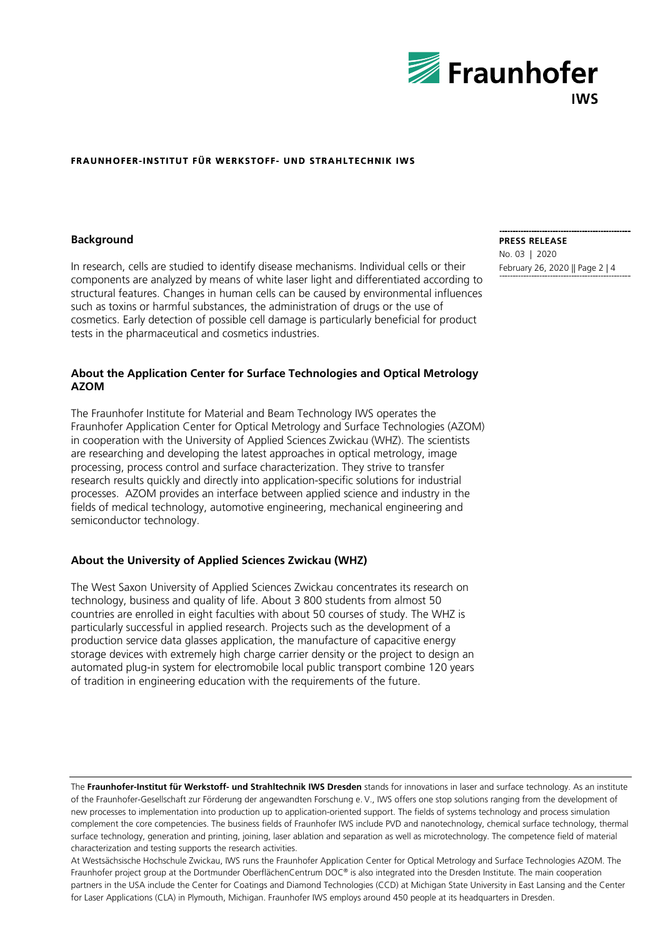

#### **Background**

In research, cells are studied to identify disease mechanisms. Individual cells or their components are analyzed by means of white laser light and differentiated according to structural features. Changes in human cells can be caused by environmental influences such as toxins or harmful substances, the administration of drugs or the use of cosmetics. Early detection of possible cell damage is particularly beneficial for product tests in the pharmaceutical and cosmetics industries.

## **About the Application Center for Surface Technologies and Optical Metrology AZOM**

The Fraunhofer Institute for Material and Beam Technology IWS operates the Fraunhofer Application Center for Optical Metrology and Surface Technologies (AZOM) in cooperation with the University of Applied Sciences Zwickau (WHZ). The scientists are researching and developing the latest approaches in optical metrology, image processing, process control and surface characterization. They strive to transfer research results quickly and directly into application-specific solutions for industrial processes. AZOM provides an interface between applied science and industry in the fields of medical technology, automotive engineering, mechanical engineering and semiconductor technology.

## **About the University of Applied Sciences Zwickau (WHZ)**

The West Saxon University of Applied Sciences Zwickau concentrates its research on technology, business and quality of life. About 3 800 students from almost 50 countries are enrolled in eight faculties with about 50 courses of study. The WHZ is particularly successful in applied research. Projects such as the development of a production service data glasses application, the manufacture of capacitive energy storage devices with extremely high charge carrier density or the project to design an automated plug-in system for electromobile local public transport combine 120 years of tradition in engineering education with the requirements of the future.

The **Fraunhofer-Institut für Werkstoff- und Strahltechnik IWS Dresden** stands for innovations in laser and surface technology. As an institute of the Fraunhofer-Gesellschaft zur Förderung der angewandten Forschung e.  V., IWS offers one stop solutions ranging from the development of new processes to implementation into production up to application-oriented support. The fields of systems technology and process simulation complement the core competencies. The business fields of Fraunhofer IWS include PVD and nanotechnology, chemical surface technology, thermal surface technology, generation and printing, joining, laser ablation and separation as well as microtechnology. The competence field of material characterization and testing supports the research activities.

At Westsächsische Hochschule Zwickau, IWS runs the Fraunhofer Application Center for Optical Metrology and Surface Technologies AZOM. The Fraunhofer project group at the Dortmunder OberflächenCentrum DOC® is also integrated into the Dresden Institute. The main cooperation partners in the USA include the Center for Coatings and Diamond Technologies (CCD) at Michigan State University in East Lansing and the Center for Laser Applications (CLA) in Plymouth, Michigan. Fraunhofer IWS employs around 450 people at its headquarters in Dresden.

**PRESS RELEASE**  No. 03 | 2020 February 26, 2020 || Page 2 | 4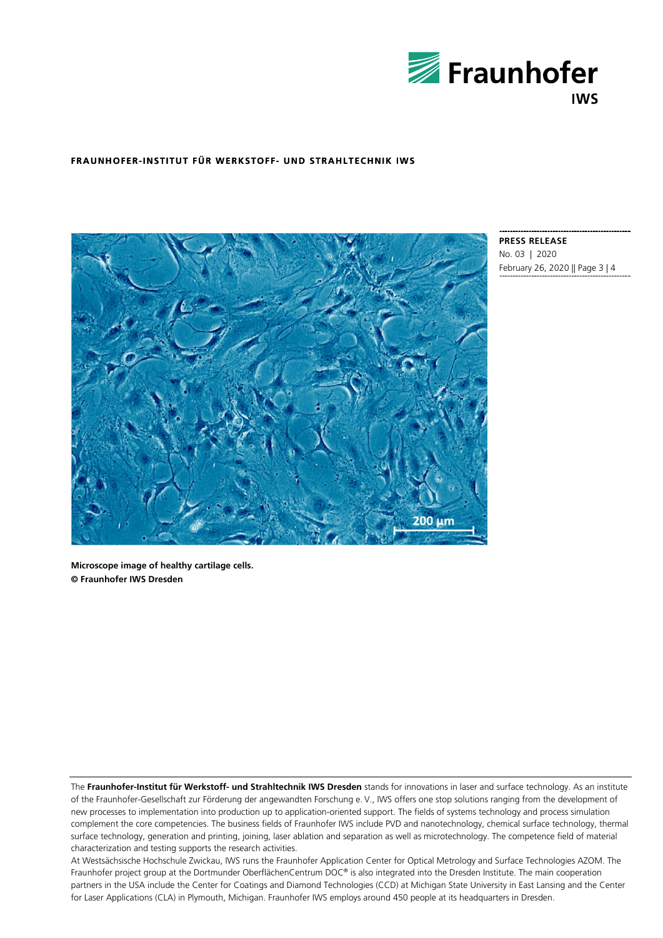



**PRESS RELEASE**  No. 03 | 2020 February 26, 2020 || Page 3 | 4

**Microscope image of healthy cartilage cells. © Fraunhofer IWS Dresden** 

The **Fraunhofer-Institut für Werkstoff- und Strahltechnik IWS Dresden** stands for innovations in laser and surface technology. As an institute of the Fraunhofer-Gesellschaft zur Förderung der angewandten Forschung e.  V., IWS offers one stop solutions ranging from the development of new processes to implementation into production up to application-oriented support. The fields of systems technology and process simulation complement the core competencies. The business fields of Fraunhofer IWS include PVD and nanotechnology, chemical surface technology, thermal surface technology, generation and printing, joining, laser ablation and separation as well as microtechnology. The competence field of material characterization and testing supports the research activities.

At Westsächsische Hochschule Zwickau, IWS runs the Fraunhofer Application Center for Optical Metrology and Surface Technologies AZOM. The Fraunhofer project group at the Dortmunder OberflächenCentrum DOC® is also integrated into the Dresden Institute. The main cooperation partners in the USA include the Center for Coatings and Diamond Technologies (CCD) at Michigan State University in East Lansing and the Center for Laser Applications (CLA) in Plymouth, Michigan. Fraunhofer IWS employs around 450 people at its headquarters in Dresden.